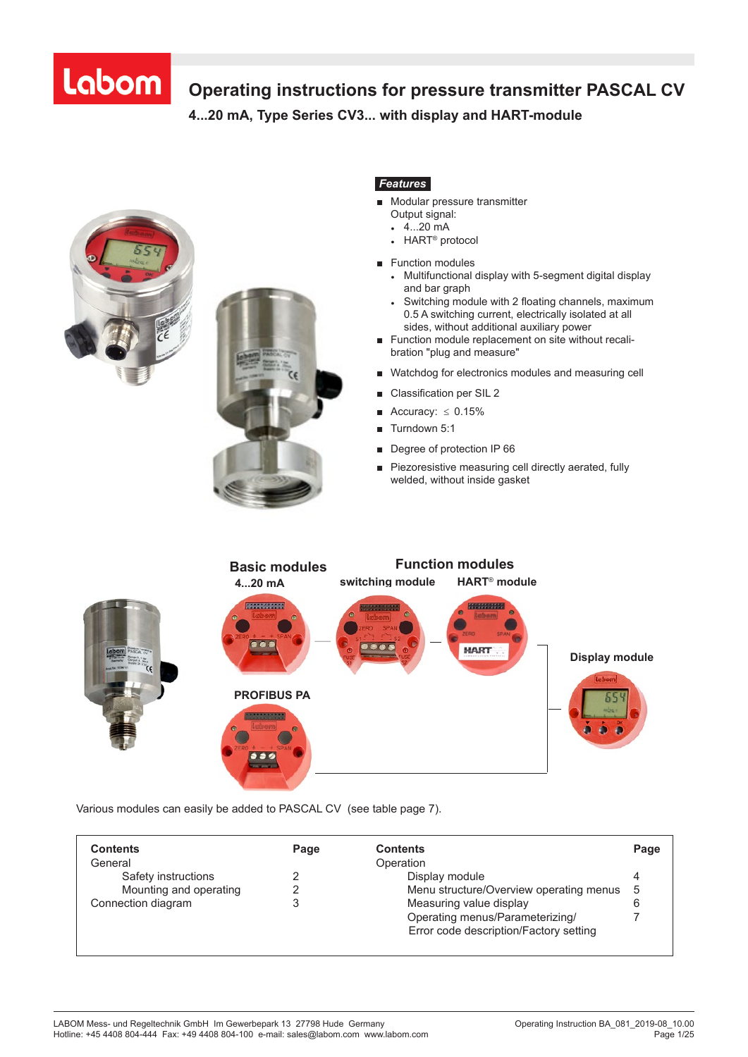# Labom

# **Operating instructions for pressure transmitter PASCAL CV**

**4...20 mA, Type Series CV3... with display and HART-module 4...20 mA, Type Series CV 3 . . . with display and HART-module**





# *Features*

- **■** Modular pressure transmitter
	- Output signal:
	- $\frac{4}{20}$  mA
- **●** HART® protocol
- **■** Function modules
	- **●** Multifunctional display with 5-segment digital display and bar graph
	- **●** Switching module with 2 floating channels, maximum 0.5 A switching current, electrically isolated at all sides, without additional auxiliary power
- **■** Function module replacement on site without recali bration "plug and measure"
- **■** Watchdog for electronics modules and measuring cell
- **■** Classification per SIL 2
- **■** Accuracy: ≤ 0.15%
- **■** Turndown 5:1
- Degree of protection IP 66
- **■** Piezoresistive measuring cell directly aerated, fully welded, without inside gasket



Various modules can easily be added to PASCAL CV (see table page 7).

| <b>Contents</b>        | Page | <b>Contents</b>                         | Page |
|------------------------|------|-----------------------------------------|------|
| General                |      | Operation                               |      |
| Safety instructions    |      | Display module                          |      |
| Mounting and operating |      | Menu structure/Overview operating menus | 5    |
| Connection diagram     |      | Measuring value display                 |      |
|                        |      | Operating menus/Parameterizing/         |      |
|                        |      | Error code description/Factory setting  |      |
|                        |      |                                         |      |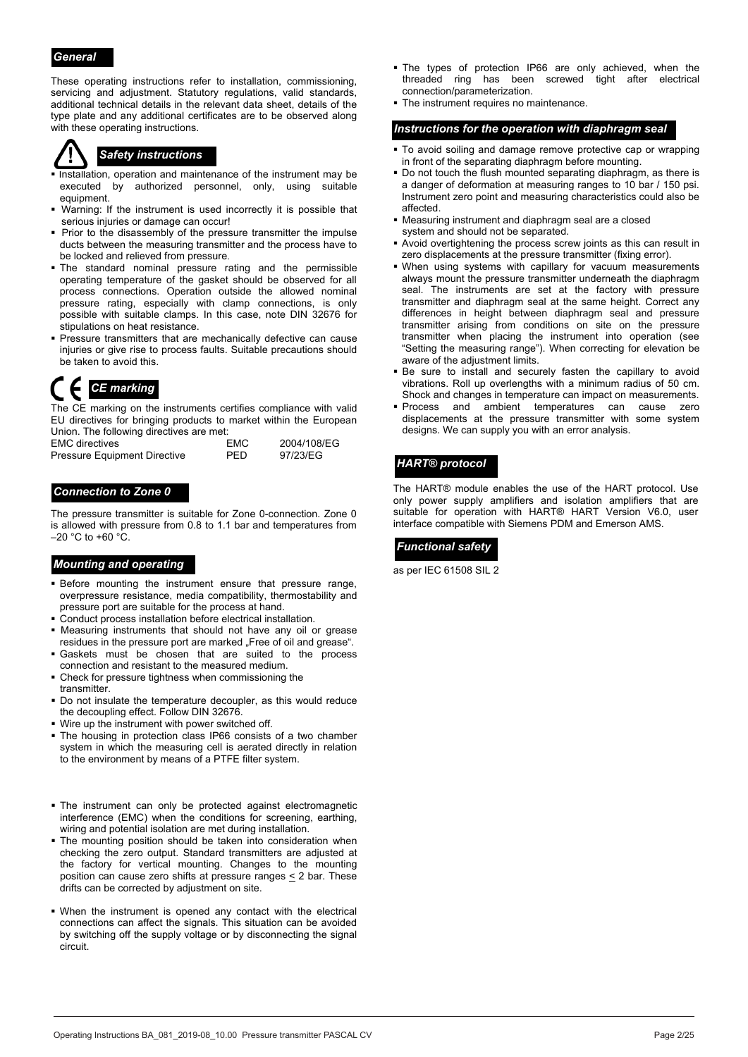#### *General*

These operating instructions refer to installation, commissioning, servicing and adjustment. Statutory regulations, valid standards, additional technical details in the relevant data sheet, details of the type plate and any additional certificates are to be observed along with these operating instructions.

- **Installation, operation and maintenance of the instrument may be** executed by authorized personnel, only, using suitable equipment.
- Warning: If the instrument is used incorrectly it is possible that serious injuries or damage can occur!
- Prior to the disassembly of the pressure transmitter the impulse ducts between the measuring transmitter and the process have to be locked and relieved from pressure.
- The standard nominal pressure rating and the permissible operating temperature of the gasket should be observed for all process connections. Operation outside the allowed nominal pressure rating, especially with clamp connections, is only possible with suitable clamps. In this case, note DIN 32676 for stipulations on heat resistance.
- Pressure transmitters that are mechanically defective can cause injuries or give rise to process faults. Suitable precautions should be taken to avoid this.

The CE marking on the instruments certifies compliance with valid EU directives for bringing products to market within the European Union. The following directives are met:

| <b>EMC</b> directives               | EMC  | 2004/108/EG |
|-------------------------------------|------|-------------|
| <b>Pressure Equipment Directive</b> | PFD. | 97/23/EG    |

#### *Connection to Zone 0*

The pressure transmitter is suitable for Zone 0-connection. Zone 0 is allowed with pressure from 0.8 to 1.1 bar and temperatures from  $-20$  °C to +60 °C.

# **Mounting and operating and and all controls of the set of the set of the set of the set of the set of the set of the set of the set of the set of the set of the set of the set of the set of the set of the set of the set o**

- Before mounting the instrument ensure that pressure range, overpressure resistance, media compatibility, thermostability and pressure port are suitable for the process at hand.
- Conduct process installation before electrical installation.
- Measuring instruments that should not have any oil or grease residues in the pressure port are marked "Free of oil and grease".
- Gaskets must be chosen that are suited to the process connection and resistant to the measured medium.
- Check for pressure tightness when commissioning the transmitter.
- Do not insulate the temperature decoupler, as this would reduce the decoupling effect. Follow DIN 32676.
- Wire up the instrument with power switched off.
- The housing in protection class IP66 consists of a two chamber system in which the measuring cell is aerated directly in relation to the environment by means of a PTFE filter system.
- The instrument can only be protected against electromagnetic interference (EMC) when the conditions for screening, earthing, wiring and potential isolation are met during installation.
- The mounting position should be taken into consideration when checking the zero output. Standard transmitters are adjusted at the factory for vertical mounting. Changes to the mounting position can cause zero shifts at pressure ranges  $\leq$  2 bar. These drifts can be corrected by adjustment on site.
- When the instrument is opened any contact with the electrical connections can affect the signals. This situation can be avoided by switching off the supply voltage or by disconnecting the signal circuit.
- The types of protection IP66 are only achieved, when the threaded ring has been screwed tight after electrical connection/parameterization.
- The instrument requires no maintenance.

#### *Instructions for the operation with diaphragm seal*

- To avoid soiling and damage remove protective cap or wrapping **Safety instructions**<br>in front of the separating diaphragm before mounting.
	- Do not touch the flush mounted separating diaphragm, as there is a danger of deformation at measuring ranges to 10 bar / 150 psi. Instrument zero point and measuring characteristics could also be affected.
	- Measuring instrument and diaphragm seal are a closed system and should not be separated.
	- Avoid overtightening the process screw joints as this can result in zero displacements at the pressure transmitter (fixing error).
	- When using systems with capillary for vacuum measurements always mount the pressure transmitter underneath the diaphragm seal. The instruments are set at the factory with pressure transmitter and diaphragm seal at the same height. Correct any differences in height between diaphragm seal and pressure transmitter arising from conditions on site on the pressure transmitter when placing the instrument into operation (see "Setting the measuring range"). When correcting for elevation be aware of the adjustment limits.
- Be sure to install and securely fasten the capillary to avoid vibrations. Roll up overlengths with a minimum radius of 50 cm. Shock and changes in temperature can impact on measurements.<br>Shock and changes in temperature can impact on measurements.
	- **Process** and ambient temperatures can cause zero displacements at the pressure transmitter with some system designs. We can supply you with an error analysis.

#### *HART® protocol*

The HART® module enables the use of the HART protocol. Use only power supply amplifiers and isolation amplifiers that are suitable for operation with HART® HART Version V6.0, user interface compatible with Siemens PDM and Emerson AMS.

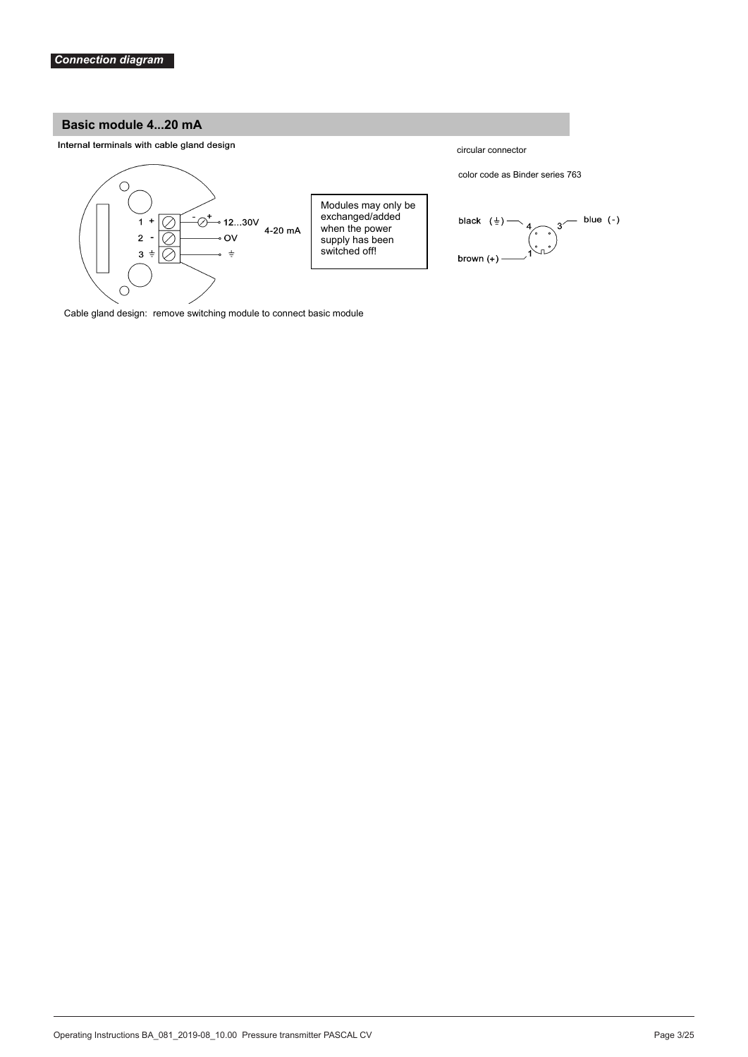### **Basic module 4...20 mA**

Internal terminals with cable gland design



Cable gland design: remove switching module to connect basic module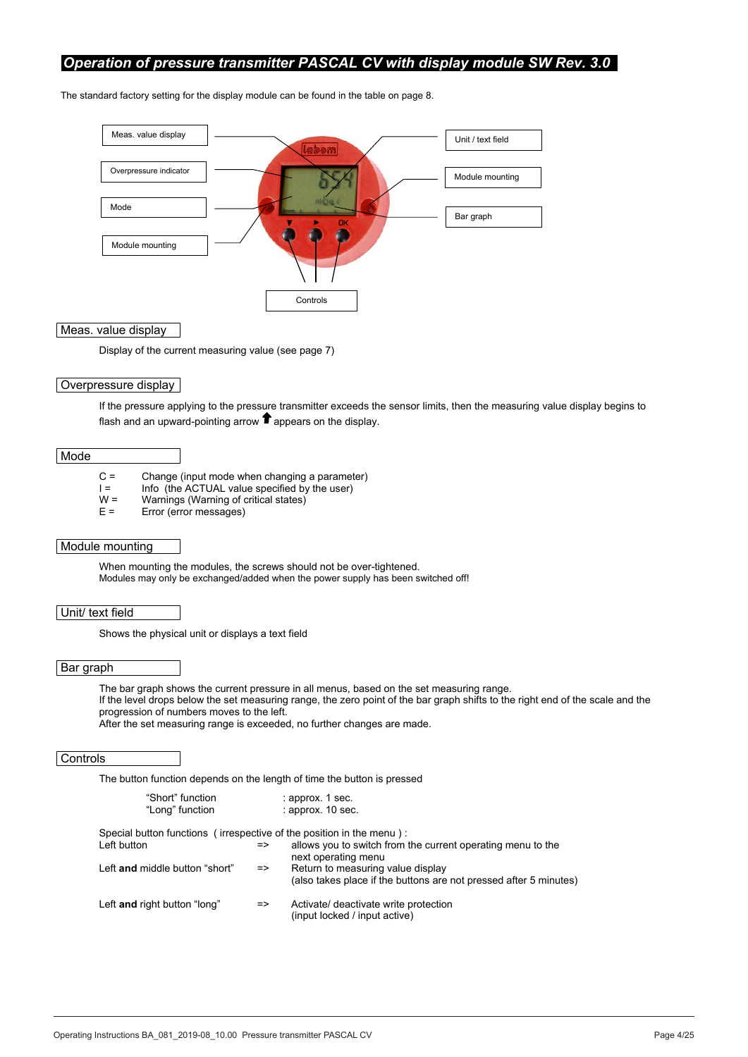### *Operation of pressure transmitter PASCAL CV with display module SW Rev. 3.0*

The standard factory setting for the display module can be found in the table on page 8.



Meas. value display

Display of the current measuring value (see page 7)

#### Overpressure display

If the pressure applying to the pressure transmitter exceeds the sensor limits, then the measuring value display begins to flash and an upward-pointing arrow  $\bullet$  appears on the display.

#### Mode

- C = Change (input mode when changing a parameter)
- $I =$  Info (the ACTUAL value specified by the user)<br> $W =$  Warnings (Warning of critical states)
- $W =$  Warnings (Warning of critical states)<br> $E =$  Error (error messages)
- Error (error messages)

#### Module mounting

When mounting the modules, the screws should not be over-tightened. Modules may only be exchanged/added when the power supply has been switched off!

#### Unit/ text field

Shows the physical unit or displays a text field

#### Bar graph

The bar graph shows the current pressure in all menus, based on the set measuring range. If the level drops below the set measuring range, the zero point of the bar graph shifts to the right end of the scale and the progression of numbers moves to the left.

After the set measuring range is exceeded, no further changes are made.

#### **Controls**

The button function depends on the length of time the button is pressed

| "Short" function                                                     |               | : approx. 1 sec.                                                                                       |
|----------------------------------------------------------------------|---------------|--------------------------------------------------------------------------------------------------------|
| "Long" function                                                      |               | $:$ approx. 10 sec.                                                                                    |
| Special button functions (irrespective of the position in the menu): |               |                                                                                                        |
| Left button                                                          | $\Rightarrow$ | allows you to switch from the current operating menu to the<br>next operating menu                     |
| Left and middle button "short"                                       | $\Rightarrow$ | Return to measuring value display<br>(also takes place if the buttons are not pressed after 5 minutes) |
| Left and right button "long"                                         | $\Rightarrow$ | Activate/ deactivate write protection<br>(input locked / input active)                                 |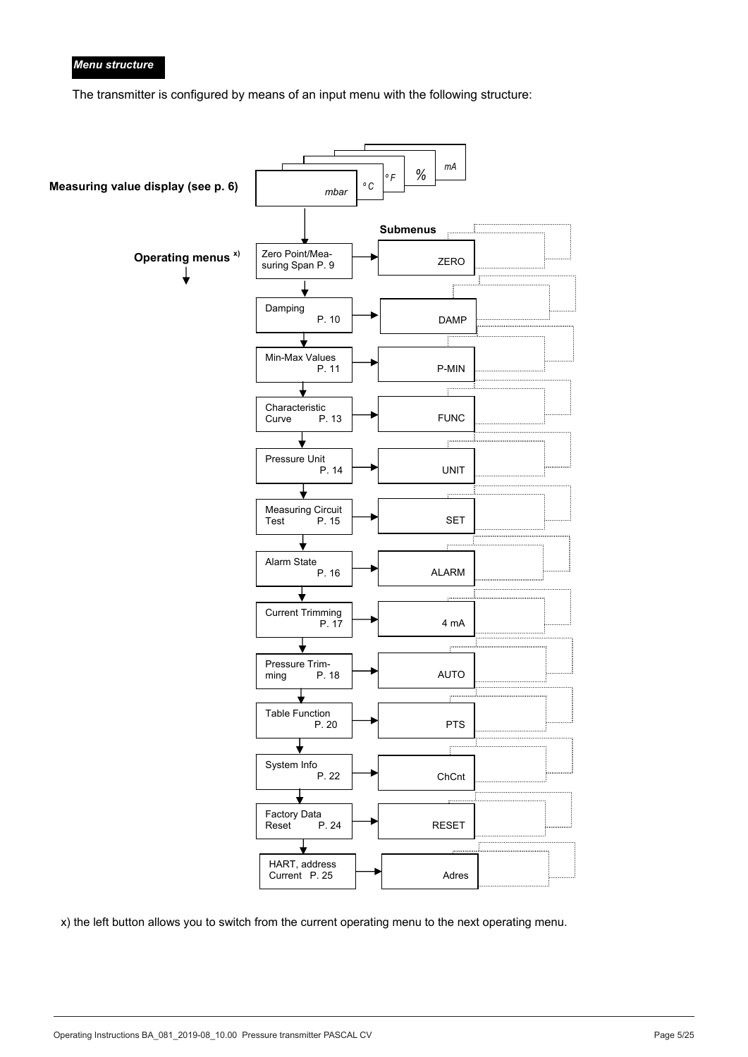#### *Menu structure*

The transmitter is configured by means of an input menu with the following structure:

![](_page_4_Figure_2.jpeg)

x) the left button allows you to switch from the current operating menu to the next operating menu.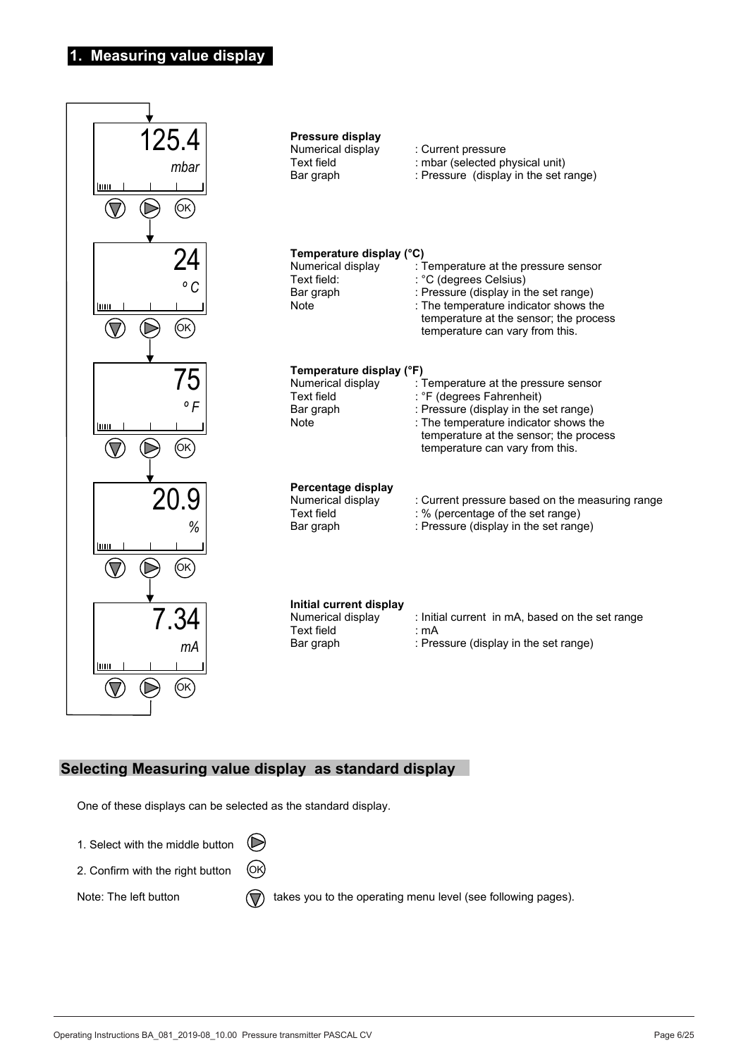# **1. Measuring value display**

![](_page_5_Figure_1.jpeg)

# **Selecting Measuring value display as standard display**

One of these displays can be selected as the standard display.

- 1. Select with the middle button  $(\triangleright$
- 2. Confirm with the right button (OK)

Note: The left button  $\overline{(\nabla)}$  takes you to the operating menu level (see following pages).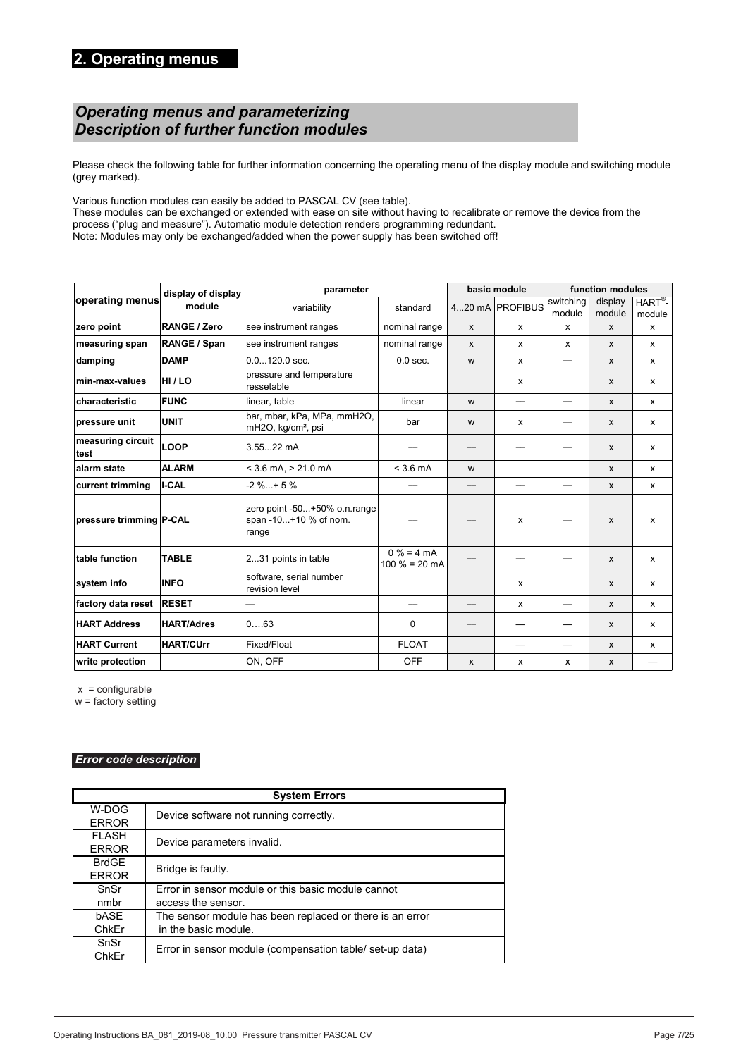# *Operating menus and parameterizing*  **2. Operating menus**  *Description of further function modules*

Please check the following table for further information concerning the operating menu of the display module and switching module *Operating menus and parameterizing*  (grey marked). *Description of further function modules* 

Various function modules can easily be added to PASCAL CV (see table).

various iditation modules can easily be added to PASOAL OV (see table).<br>These modules can be exchanged or extended with ease on site without having to recalibrate or remove the device from the process ("plug and measure"). Automatic module detection renders programming redundant.

Note: Modules may only be exchanged/added when the power supply has been switched off!

|                           | display of display  | parameter                                                      |                                 | basic module                            | function modules         |                          |                   |                              |
|---------------------------|---------------------|----------------------------------------------------------------|---------------------------------|-----------------------------------------|--------------------------|--------------------------|-------------------|------------------------------|
| operating menus           | module              | variability                                                    | standard                        |                                         | 420 mA PROFIBUS          | switching<br>module      | display<br>module | $HART^{\otimes}$ -<br>module |
| zero point                | <b>RANGE / Zero</b> | see instrument ranges                                          | nominal range                   | X                                       | $\mathsf{x}$             | X                        | $\mathsf{x}$      | $\mathsf{x}$                 |
| measuring span            | RANGE / Span        | see instrument ranges                                          | nominal range                   | X                                       | $\mathsf{x}$             | $\mathsf{x}$             | $\mathsf{x}$      | $\mathsf{x}$                 |
| damping                   | <b>DAMP</b>         | $0.0120.0$ sec.                                                | $0.0$ sec.                      | W                                       | X                        | $\qquad \qquad -$        | $\mathsf{x}$      | x                            |
| min-max-values            | HI / LO             | pressure and temperature<br>ressetable                         |                                 | $\hspace{1.0cm} \overline{\phantom{0}}$ | x                        | $\qquad \qquad$          | $\mathsf{x}$      | $\mathsf{x}$                 |
| characteristic            | <b>FUNC</b>         | linear, table                                                  | linear                          | W                                       | $\qquad \qquad -$        | $\qquad \qquad -$        | X                 | X                            |
| pressure unit             | UNIT                | bar, mbar, kPa, MPa, mmH2O,<br>mH2O, kg/cm <sup>2</sup> , psi  | bar                             | W                                       | x                        | —                        | $\mathsf{x}$      | $\mathsf{x}$                 |
| measuring circuit<br>test | <b>LOOP</b>         | 3.5522 mA                                                      |                                 |                                         |                          |                          | $\mathsf{x}$      | $\mathsf{x}$                 |
| alarm state               | <b>ALARM</b>        | $<$ 3.6 mA, $>$ 21.0 mA                                        | $< 3.6 \text{ mA}$              | W                                       | $\overline{\phantom{m}}$ |                          | $\mathsf{x}$      | x                            |
| current trimming          | <b>I-CAL</b>        | $-2 \%+5 \%$                                                   |                                 |                                         |                          |                          | $\mathsf{x}$      | X                            |
| pressure trimming P-CAL   |                     | zero point -50+50% o.n.range<br>span -10+10 % of nom.<br>range |                                 |                                         | $\mathsf{x}$             |                          | $\mathsf{x}$      | X                            |
| table function            | <b>TABLE</b>        | 231 points in table                                            | $0% = 4 mA$<br>$100 \% = 20 mA$ |                                         |                          |                          | $\mathsf{x}$      | $\mathsf{x}$                 |
| system info               | <b>INFO</b>         | software, serial number<br>revision level                      |                                 |                                         | $\mathsf{x}$             |                          | $\mathsf{x}$      | $\mathsf{x}$                 |
| factory data reset        | <b>RESET</b>        |                                                                | $\overline{\phantom{0}}$        |                                         | X                        | $\overline{\phantom{0}}$ | $\mathsf{x}$      | X                            |
| <b>HART Address</b>       | <b>HART/Adres</b>   | 063                                                            | 0                               |                                         |                          |                          | $\mathsf{x}$      | X                            |
| <b>HART Current</b>       | <b>HART/CUrr</b>    | Fixed/Float                                                    | <b>FLOAT</b>                    |                                         |                          |                          | $\mathsf{x}$      | x                            |
| write protection          |                     | ON, OFF                                                        | <b>OFF</b>                      | $\boldsymbol{\mathsf{x}}$               | X                        | X                        | X                 |                              |

 x = configurable x = configurable x = configurable  $x =$  corrigurable

w = factory setting w = factory setting

**0000**

#### *Error code description*

|                              | <b>System Errors</b>                                     |
|------------------------------|----------------------------------------------------------|
| W-DOG<br><b>ERROR</b>        | Device software not running correctly.                   |
| <b>FLASH</b><br><b>ERROR</b> | Device parameters invalid.                               |
| <b>BrdGE</b><br><b>ERROR</b> | Bridge is faulty.                                        |
| SnSr                         | Error in sensor module or this basic module cannot       |
| nmbr                         | access the sensor.                                       |
| bASE                         | The sensor module has been replaced or there is an error |
| ChkEr                        | in the basic module.                                     |
| SnSr                         | Error in sensor module (compensation table/ set-up data) |
| ChkEr                        |                                                          |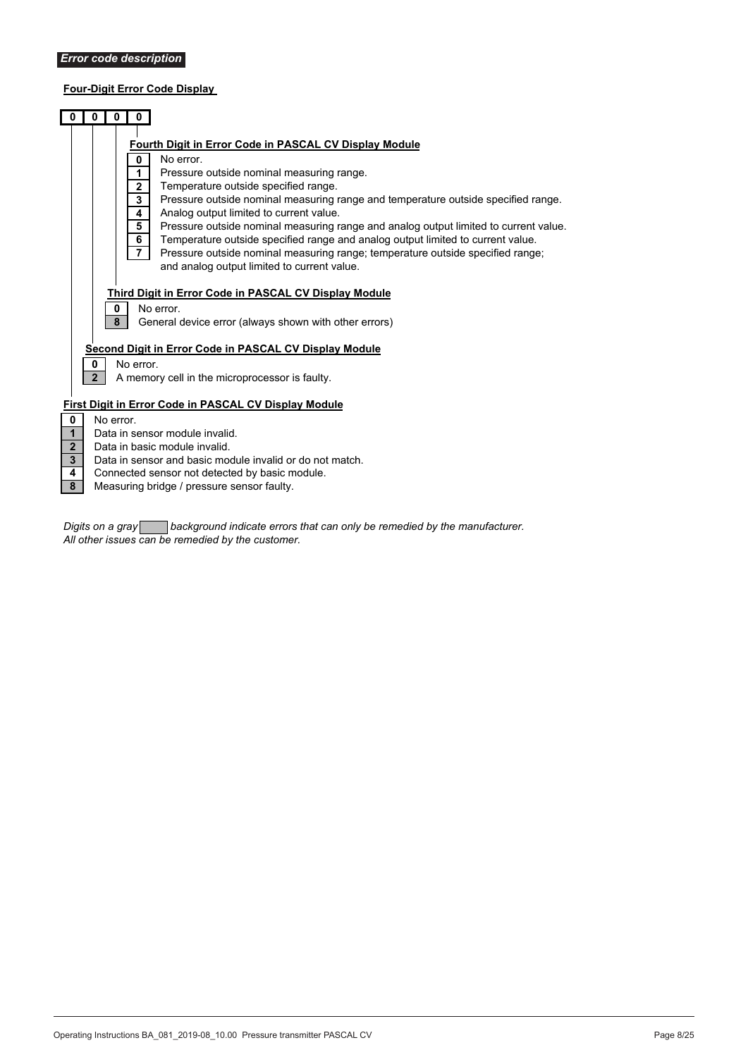# **Four-Digit Error Code Display**

|                         |                                                          | 0              | 0<br>$\mathbf{0}$   |                                                                                                                               |  |
|-------------------------|----------------------------------------------------------|----------------|---------------------|-------------------------------------------------------------------------------------------------------------------------------|--|
|                         |                                                          |                |                     |                                                                                                                               |  |
|                         |                                                          |                |                     | Fourth Digit in Error Code in PASCAL CV Display Module                                                                        |  |
|                         |                                                          |                | $\mathbf{0}$        | No error.                                                                                                                     |  |
|                         |                                                          |                | 1                   | Pressure outside nominal measuring range.                                                                                     |  |
|                         |                                                          |                | $\overline{2}$      | Temperature outside specified range.                                                                                          |  |
|                         |                                                          |                | 3                   | Pressure outside nominal measuring range and temperature outside specified range.                                             |  |
|                         |                                                          |                | 4                   | Analog output limited to current value.                                                                                       |  |
|                         |                                                          |                | 5                   | Pressure outside nominal measuring range and analog output limited to current value.                                          |  |
|                         |                                                          |                | 6<br>$\overline{7}$ | Temperature outside specified range and analog output limited to current value.                                               |  |
|                         |                                                          |                |                     | Pressure outside nominal measuring range; temperature outside specified range;<br>and analog output limited to current value. |  |
|                         |                                                          |                |                     |                                                                                                                               |  |
|                         |                                                          |                |                     | Third Digit in Error Code in PASCAL CV Display Module                                                                         |  |
|                         |                                                          |                | 0                   | No error.                                                                                                                     |  |
|                         |                                                          |                | 8                   | General device error (always shown with other errors)                                                                         |  |
|                         |                                                          |                |                     |                                                                                                                               |  |
|                         |                                                          |                |                     | Second Digit in Error Code in PASCAL CV Display Module                                                                        |  |
|                         |                                                          | 0              | No error.           |                                                                                                                               |  |
|                         |                                                          | $\overline{2}$ |                     | A memory cell in the microprocessor is faulty.                                                                                |  |
|                         |                                                          |                |                     |                                                                                                                               |  |
|                         |                                                          |                |                     | <b>First Digit in Error Code in PASCAL CV Display Module</b>                                                                  |  |
| $\mathbf 0$             |                                                          | No error.      |                     |                                                                                                                               |  |
| $\mathbf{1}$            |                                                          |                |                     | Data in sensor module invalid.                                                                                                |  |
| $\overline{2}$          |                                                          |                |                     | Data in basic module invalid.                                                                                                 |  |
| 3 <sup>1</sup>          | Data in sensor and basic module invalid or do not match. |                |                     |                                                                                                                               |  |
| 4                       |                                                          |                |                     | Connected sensor not detected by basic module.                                                                                |  |
| $\overline{\mathbf{8}}$ |                                                          |                |                     | Measuring bridge / pressure sensor faulty.                                                                                    |  |

*Digits on a gray background indicate errors that can only be remedied by the manufacturer. All other issues can be remedied by the customer.*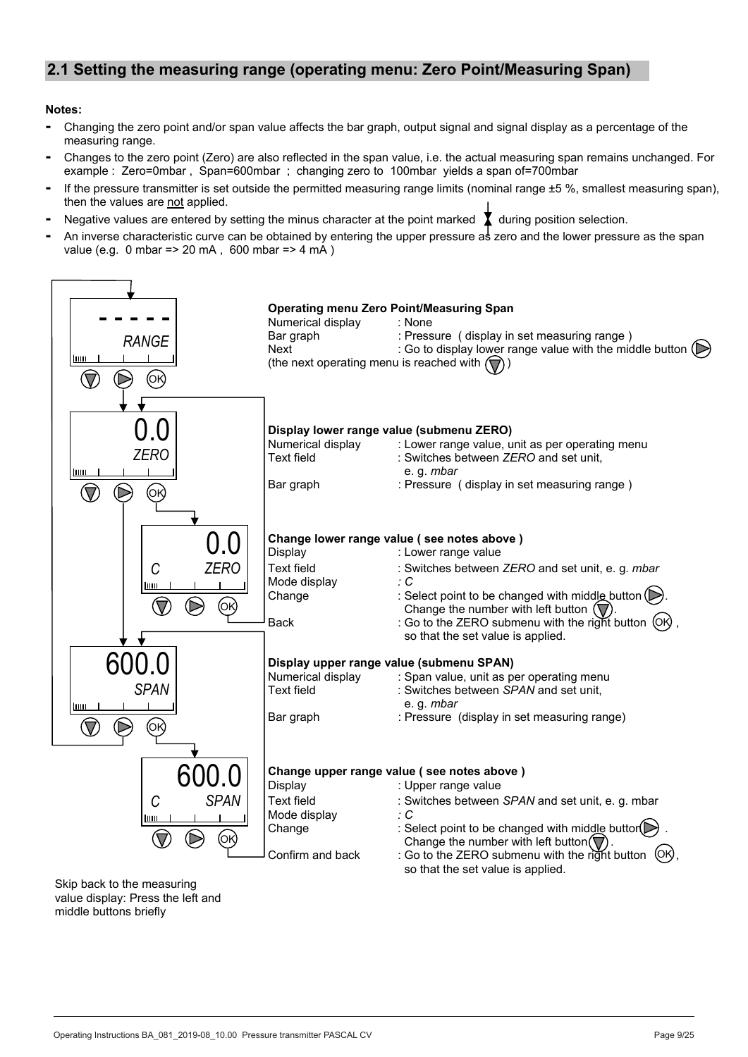# **2.1 Setting the measuring range (operating menu: Zero Point/Measuring Span)**

#### **Notes:**

- **-** Changing the zero point and/or span value affects the bar graph, output signal and signal display as a percentage of the measuring range.
- **-** Changes to the zero point (Zero) are also reflected in the span value, i.e. the actual measuring span remains unchanged. For example : Zero=0mbar , Span=600mbar ; changing zero to 100mbar yields a span of=700mbar
- **-** If the pressure transmitter is set outside the permitted measuring range limits (nominal range ±5 %, smallest measuring span), then the values are not applied.
- **-** Negative values are entered by setting the minus character at the point marked during position selection.
- **-** An inverse characteristic curve can be obtained by entering the upper pressure as zero and the lower pressure as the span value (e.g. 0 mbar => 20 mA , 600 mbar => 4 mA )

![](_page_8_Figure_7.jpeg)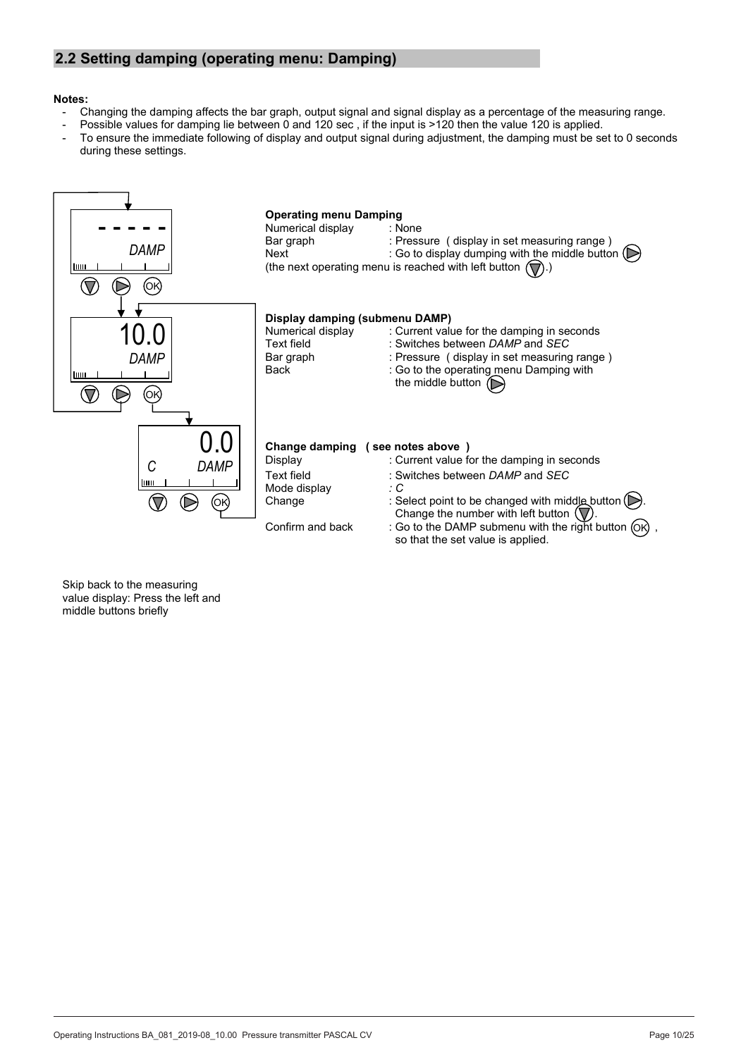# **2.2 Setting damping (operating menu: Damping)**

#### **Notes:**

- Changing the damping affects the bar graph, output signal and signal display as a percentage of the measuring range.
	- Possible values for damping lie between 0 and 120 sec, if the input is >120 then the value 120 is applied.
- To ensure the immediate following of display and output signal during adjustment, the damping must be set to 0 seconds during these settings.

![](_page_9_Figure_5.jpeg)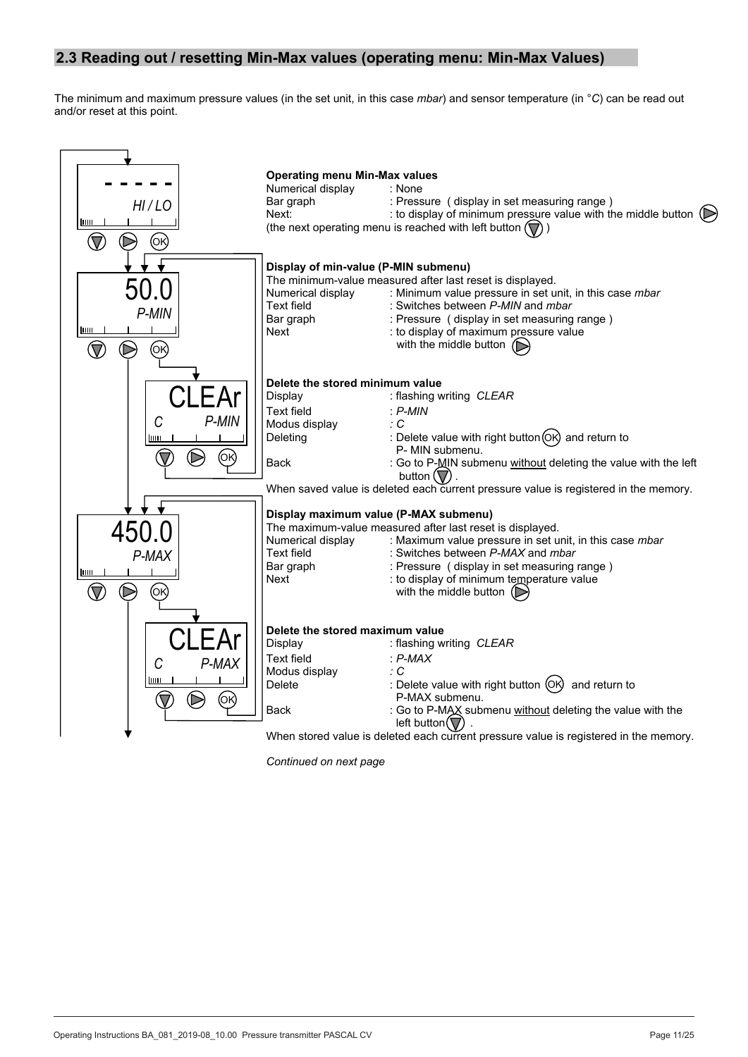# **2.3 Reading out / resetting Min-Max values (operating menu: Min-Max Values)**

The minimum and maximum pressure values (in the set unit, in this case *mbar*) and sensor temperature (in °*C*) can be read out and/or reset at this point.

![](_page_10_Figure_2.jpeg)

*Continued on next page*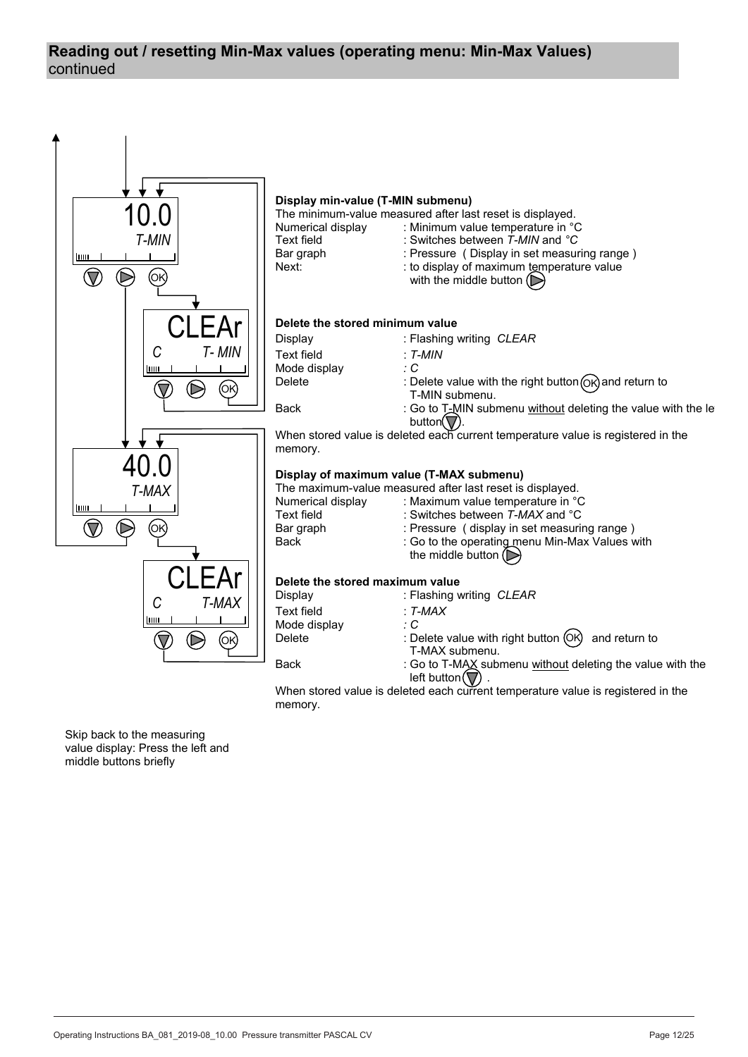# continued **Reading out / resetting Min-Max values (operating menu: Min-Max Values)**

![](_page_11_Figure_1.jpeg)

When stored value is deleted each current temperature value is registered in the memory.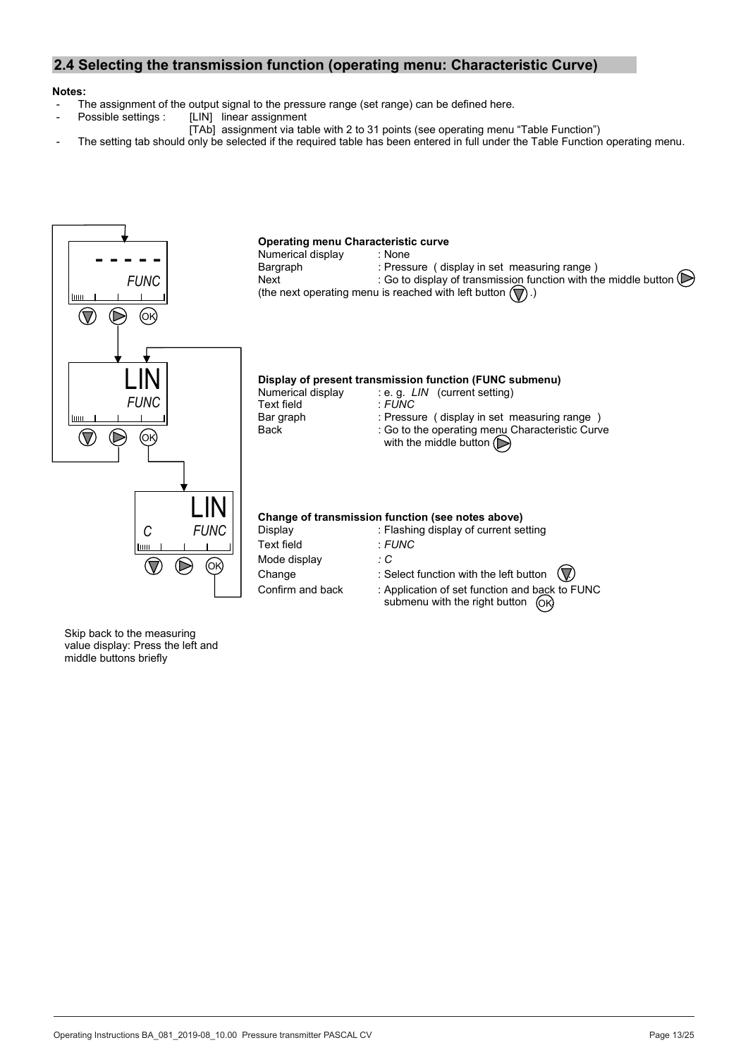# **2.4 Selecting the transmission function (operating menu: Characteristic Curve)**

#### **Notes:**

- The assignment of the output signal to the pressure range (set range) can be defined here.<br>Possible settings : [LIN] linear assignment
- [LIN] linear assignment
	- [TAb] assignment via table with 2 to 31 points (see operating menu "Table Function")
- The setting tab should only be selected if the required table has been entered in full under the Table Function operating menu.

![](_page_12_Figure_6.jpeg)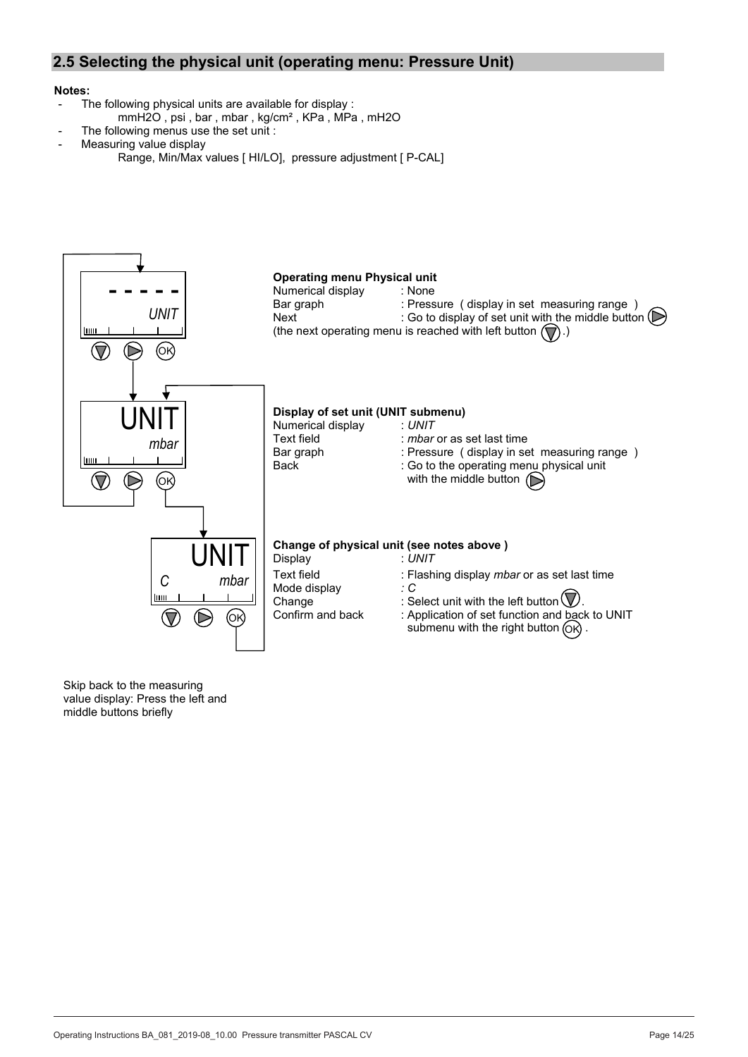# **2.5 Selecting the physical unit (operating menu: Pressure Unit)**

#### **Notes:**

- The following physical units are available for display :
	- mmH2O , psi , bar , mbar , kg/cm² , KPa , MPa , mH2O
	- The following menus use the set unit :
- Measuring value display
	- Range, Min/Max values [ HI/LO], pressure adjustment [ P-CAL]

![](_page_13_Figure_7.jpeg)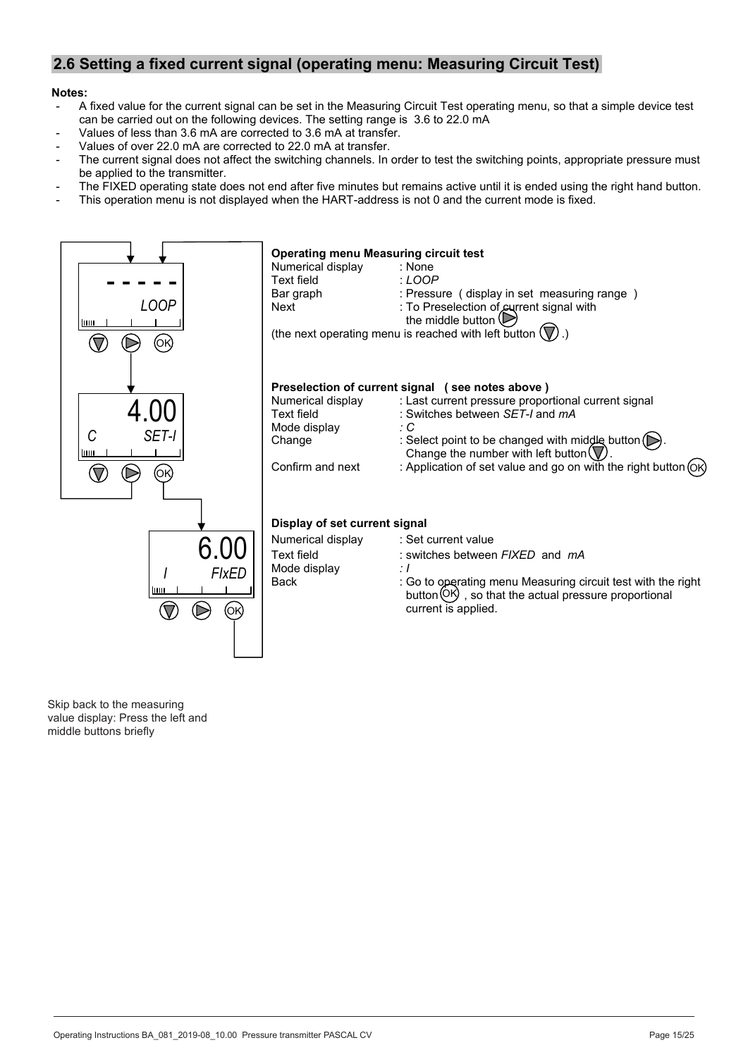# **2.6 Setting a fixed current signal (operating menu: Measuring Circuit Test)**

#### **Notes:**

- A fixed value for the current signal can be set in the Measuring Circuit Test operating menu, so that a simple device test can be carried out on the following devices. The setting range is 3.6 to 22.0 mA
- Values of less than 3.6 mA are corrected to 3.6 mA at transfer.
- Values of over 22.0 mA are corrected to 22.0 mA at transfer.
- The current signal does not affect the switching channels. In order to test the switching points, appropriate pressure must be applied to the transmitter.
- The FIXED operating state does not end after five minutes but remains active until it is ended using the right hand button.
- This operation menu is not displayed when the HART-address is not 0 and the current mode is fixed.

![](_page_14_Figure_8.jpeg)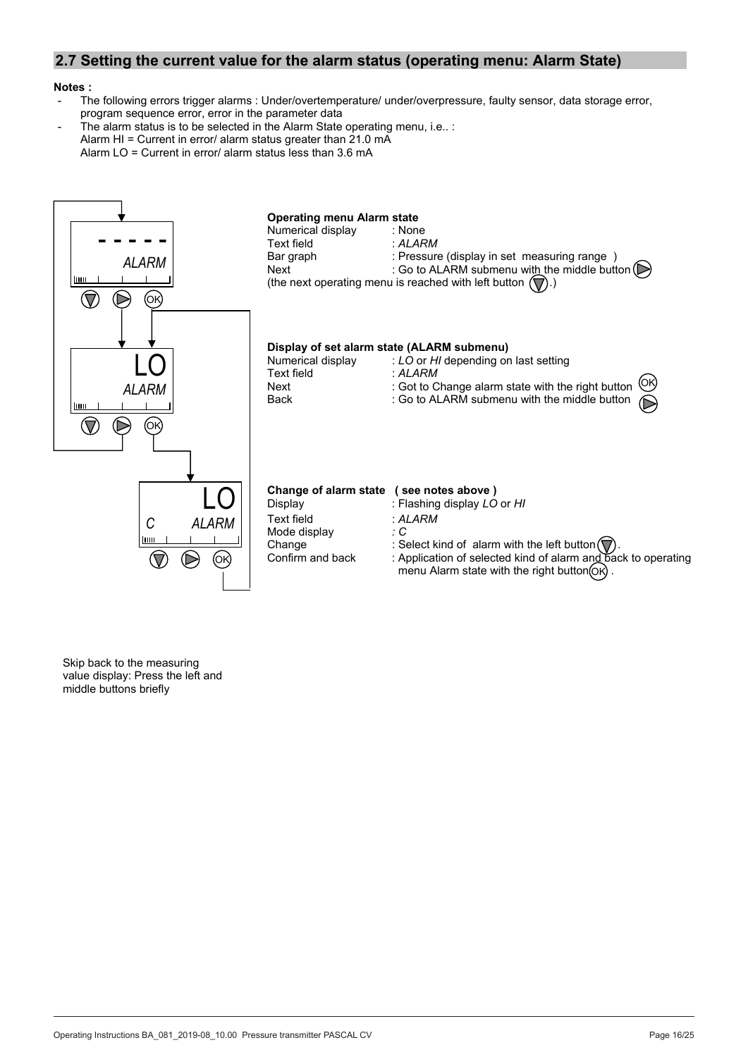# **2.7 Setting the current value for the alarm status (operating menu: Alarm State)**

#### **Notes :**

- The following errors trigger alarms : Under/overtemperature/ under/overpressure, faulty sensor, data storage error, program sequence error, error in the parameter data
- The alarm status is to be selected in the Alarm State operating menu, i.e.. : Alarm HI = Current in error/ alarm status greater than 21.0 mA Alarm LO = Current in error/ alarm status less than 3.6 mA

![](_page_15_Figure_4.jpeg)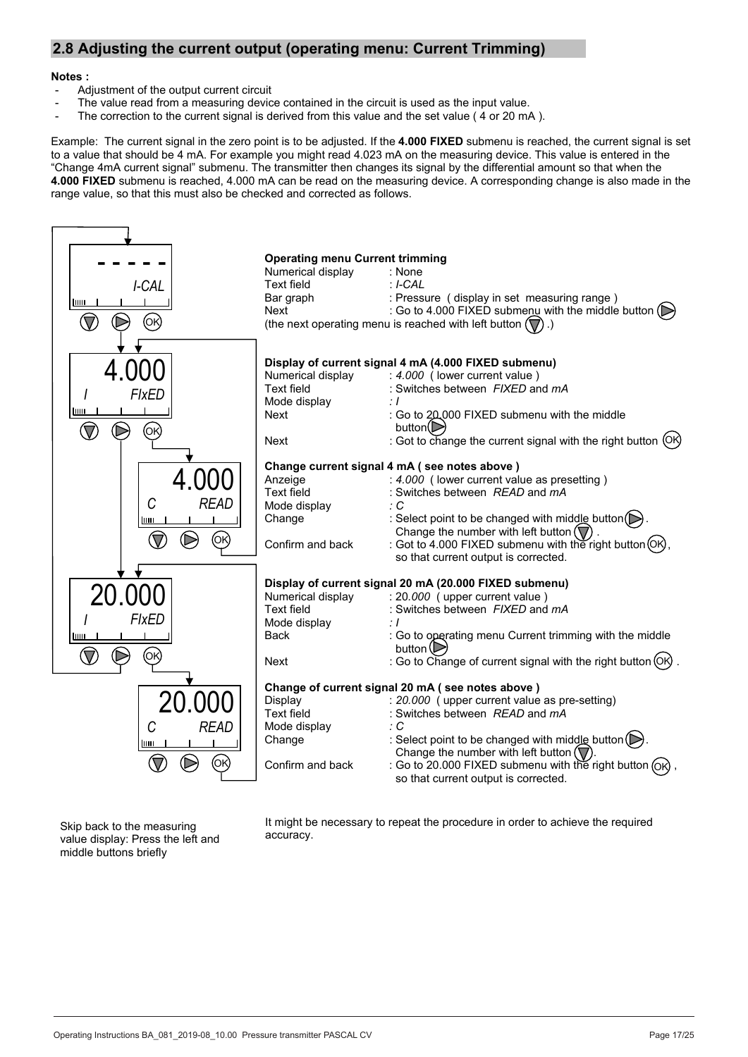# **2.8 Adjusting the current output (operating menu: Current Trimming)**

#### **Notes :**

- Adjustment of the output current circuit
- The value read from a measuring device contained in the circuit is used as the input value.
- The correction to the current signal is derived from this value and the set value (4 or 20 mA).

Example: The current signal in the zero point is to be adjusted. If the **4.000 FIXED** submenu is reached, the current signal is set to a value that should be 4 mA. For example you might read 4.023 mA on the measuring device. This value is entered in the "Change 4mA current signal" submenu. The transmitter then changes its signal by the differential amount so that when the **4.000 FIXED** submenu is reached, 4.000 mA can be read on the measuring device. A corresponding change is also made in the range value, so that this must also be checked and corrected as follows.

![](_page_16_Figure_6.jpeg)

Skip back to the measuring value display: Press the left and middle buttons briefly

It might be necessary to repeat the procedure in order to achieve the required accuracy.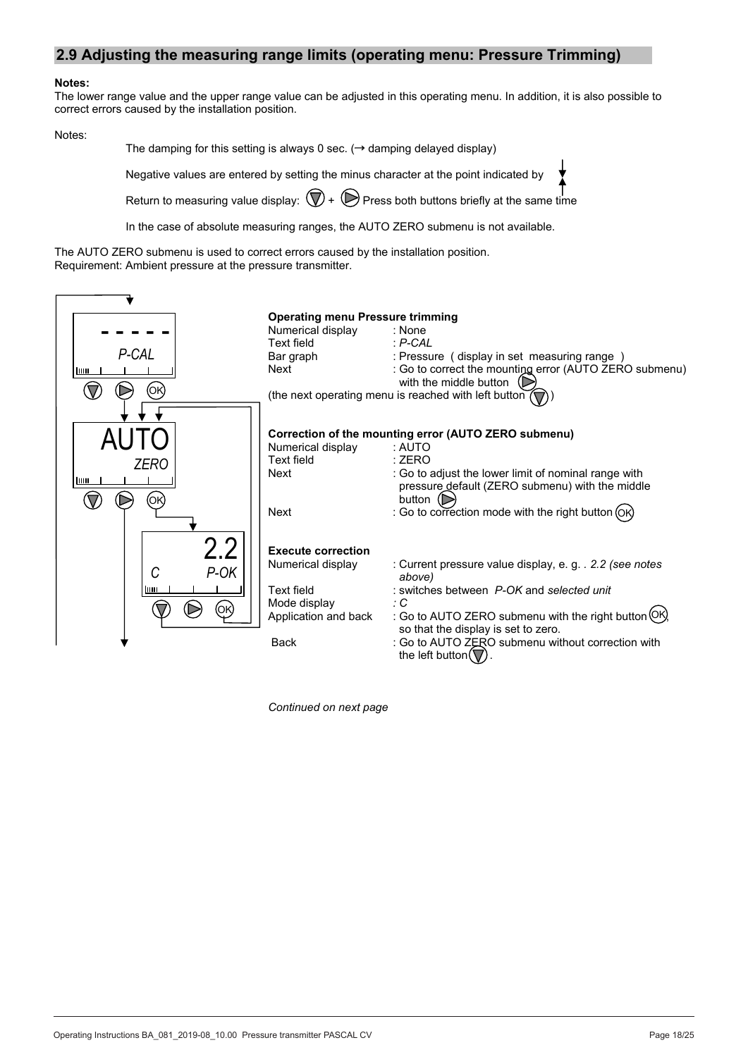### **2.9 Adjusting the measuring range limits (operating menu: Pressure Trimming)**

#### **Notes:**

The lower range value and the upper range value can be adjusted in this operating menu. In addition, it is also possible to correct errors caused by the installation position.

#### Notes:

The damping for this setting is always 0 sec.  $\rightarrow$  damping delayed display)

Negative values are entered by setting the minus character at the point indicated by

Return to measuring value display:  $(\nabla)$  +  $(\nabla)$  Press both buttons briefly at the same time

In the case of absolute measuring ranges, the AUTO ZERO submenu is not available.

The AUTO ZERO submenu is used to correct errors caused by the installation position. Requirement: Ambient pressure at the pressure transmitter.

|           | <b>Operating menu Pressure trimming</b> |                                                                                         |
|-----------|-----------------------------------------|-----------------------------------------------------------------------------------------|
|           | Numerical display                       | : None                                                                                  |
|           | Text field                              | $\therefore$ P-CAL                                                                      |
| P-CAL     | Bar graph                               | : Pressure (display in set measuring range)                                             |
| шш        | Next                                    | : Go to correct the mounting error (AUTO ZERO submenu)<br>with the middle button $\Box$ |
| (ΟΚ       |                                         | (the next operating menu is reached with left button                                    |
|           |                                         |                                                                                         |
|           |                                         |                                                                                         |
|           |                                         | Correction of the mounting error (AUTO ZERO submenu)                                    |
|           | Numerical display                       | : AUTO                                                                                  |
| ZERO      | Text field                              | : ZERO                                                                                  |
|           | Next                                    | : Go to adjust the lower limit of nominal range with                                    |
| шш        |                                         | pressure default (ZERO submenu) with the middle                                         |
| ΌΚ        |                                         | button $\mathbb{D}$                                                                     |
|           | Next                                    | : Go to correction mode with the right button (OK)                                      |
|           |                                         |                                                                                         |
|           |                                         |                                                                                         |
| $2.2\,$   | <b>Execute correction</b>               |                                                                                         |
| P-OK<br>C | Numerical display                       | : Current pressure value display, e.g. . 2.2 (see notes<br>above)                       |
| ШШ        | Text field                              | : switches between P-OK and selected unit                                               |
| (ОК)      | Mode display                            | ÷С                                                                                      |
|           | Application and back                    | : Go to AUTO ZERO submenu with the right button (OK)                                    |
|           |                                         | so that the display is set to zero.                                                     |
|           | <b>Back</b>                             | : Go to AUTO ZERO submenu without correction with                                       |
|           |                                         | the left button $(\nabla)$ .                                                            |

*Continued on next page*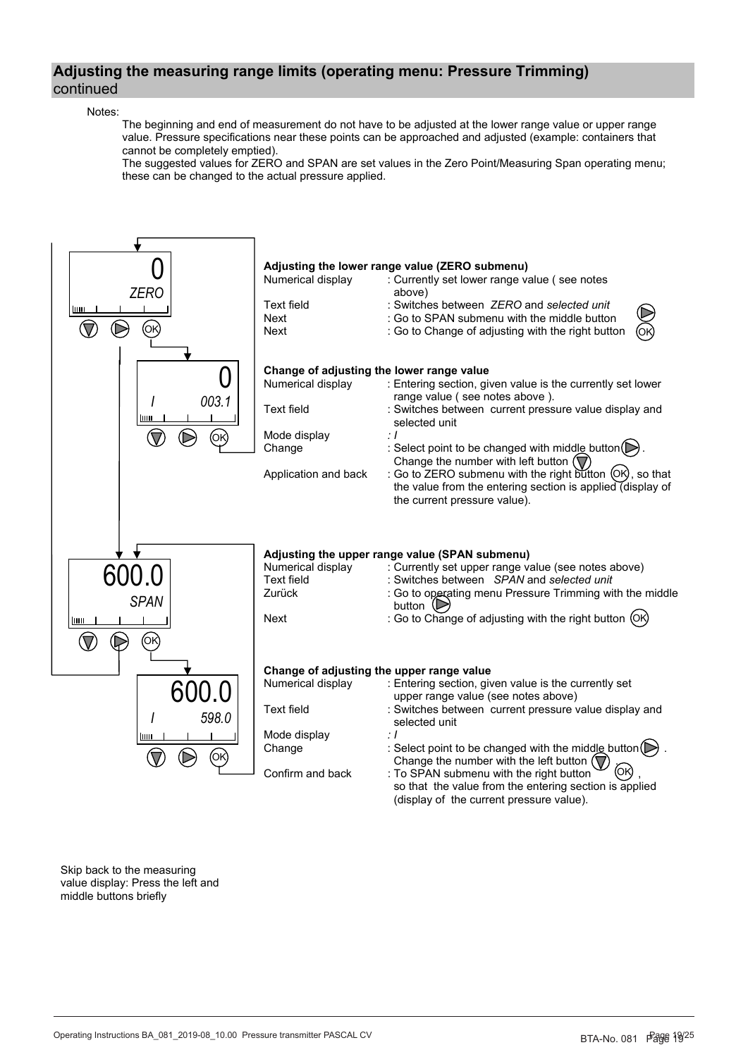# **Adjusting the measuring range limits (operating menu: Pressure Trimming)** continued

#### Notes:

 The beginning and end of measurement do not have to be adjusted at the lower range value or upper range value. Pressure specifications near these points can be approached and adjusted (example: containers that cannot be completely emptied).

 The suggested values for ZERO and SPAN are set values in the Zero Point/Measuring Span operating menu; these can be changed to the actual pressure applied.

![](_page_18_Figure_4.jpeg)

Skip back to the measuring value display: Press the left and middle buttons briefly

BTA-No. 031 Rev. 031 Rev. 031 Rev. 031 Rev. 031 Rev. 031 Rev. 031 Rev. 031 Rev. 031 Rev. 031 Rev. 031 Rev. 031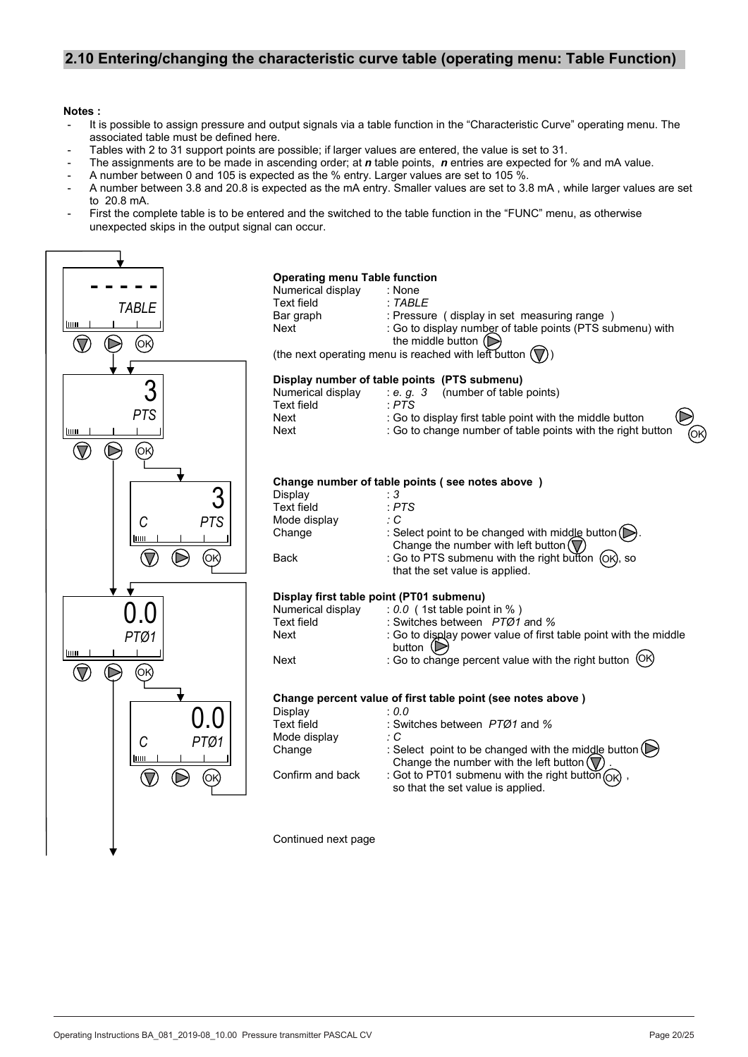# **2.10 Entering/changing the characteristic curve table (operating menu: Table Function)**

#### **Notes :**

- It is possible to assign pressure and output signals via a table function in the "Characteristic Curve" operating menu. The associated table must be defined here.
- Tables with 2 to 31 support points are possible; if larger values are entered, the value is set to 31.
- The assignments are to be made in ascending order; at *n* table points, *n* entries are expected for % and mA value.
- A number between 0 and 105 is expected as the % entry. Larger values are set to 105 %.
- A number between 3.8 and 20.8 is expected as the mA entry. Smaller values are set to 3.8 mA , while larger values are set to 20.8 mA.
- First the complete table is to be entered and the switched to the table function in the "FUNC" menu, as otherwise unexpected skips in the output signal can occur.

![](_page_19_Figure_8.jpeg)

#### **Operating menu Table function**

| Numerical display | : None                                                    |
|-------------------|-----------------------------------------------------------|
| Text field        | : TABLE                                                   |
| Bar graph         | : Pressure (display in set measuring range)               |
| Next              | : Go to display number of table points (PTS submenu) with |
|                   | the middle button $(\triangleright)$                      |

(the next operating menu is reached with left button  $(\nabla)$ )

#### **Display number of table points (PTS submenu)**

| Numerical display | (number of table points)<br>: e. a. 3                                  |
|-------------------|------------------------------------------------------------------------|
| Text field        | · PTS                                                                  |
| Next              | $\bigcirc$<br>: Go to display first table point with the middle button |
| Next              | ି<br>ଉ<br>: Go to change number of table points with the right button  |

#### **Change number of table points ( see notes above )**

| : 3                                                                                                                   |
|-----------------------------------------------------------------------------------------------------------------------|
| $E$ PTS                                                                                                               |
| : C                                                                                                                   |
| : Select point to be changed with middle button $(\triangleright)$ .<br>Change the number with left button $(\nabla)$ |
| : Go to PTS submenu with the right button (OK), so<br>that the set value is applied.                                  |
|                                                                                                                       |

#### **Display first table point (PT01 submenu)**

| $: 0.0$ (1st table point in %)                                                             |
|--------------------------------------------------------------------------------------------|
| : Switches between $PTØ1$ and %                                                            |
| : Go to display power value of first table point with the middle button $(\triangleright)$ |
| : Go to change percent value with the right button (OK)                                    |
|                                                                                            |

#### **Change percent value of first table point (see notes above )**

| Display           | : 0.0                                                                                                                                                   |
|-------------------|---------------------------------------------------------------------------------------------------------------------------------------------------------|
| <b>Text field</b> | : Switches between PTØ1 and %                                                                                                                           |
| Mode display      | : C                                                                                                                                                     |
| Change            | : Select point to be changed with the middle button $(\triangleright)$<br>Change the number with the left button $\left(\overline{\mathbb{V}}\right)$ . |
| Confirm and back  | : Got to PT01 submenu with the right button $OR$ ,<br>so that the set value is applied.                                                                 |

Continued next page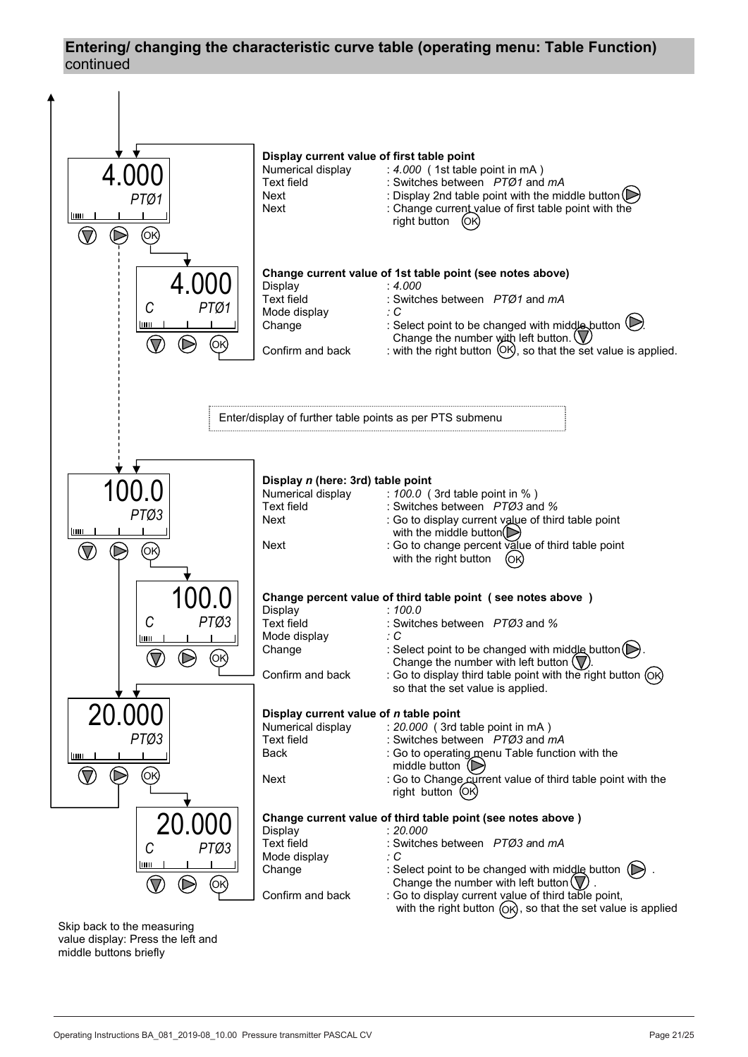# **Entering/ changing the characteristic curve table (operating menu: Table Function)**  continued

![](_page_20_Figure_1.jpeg)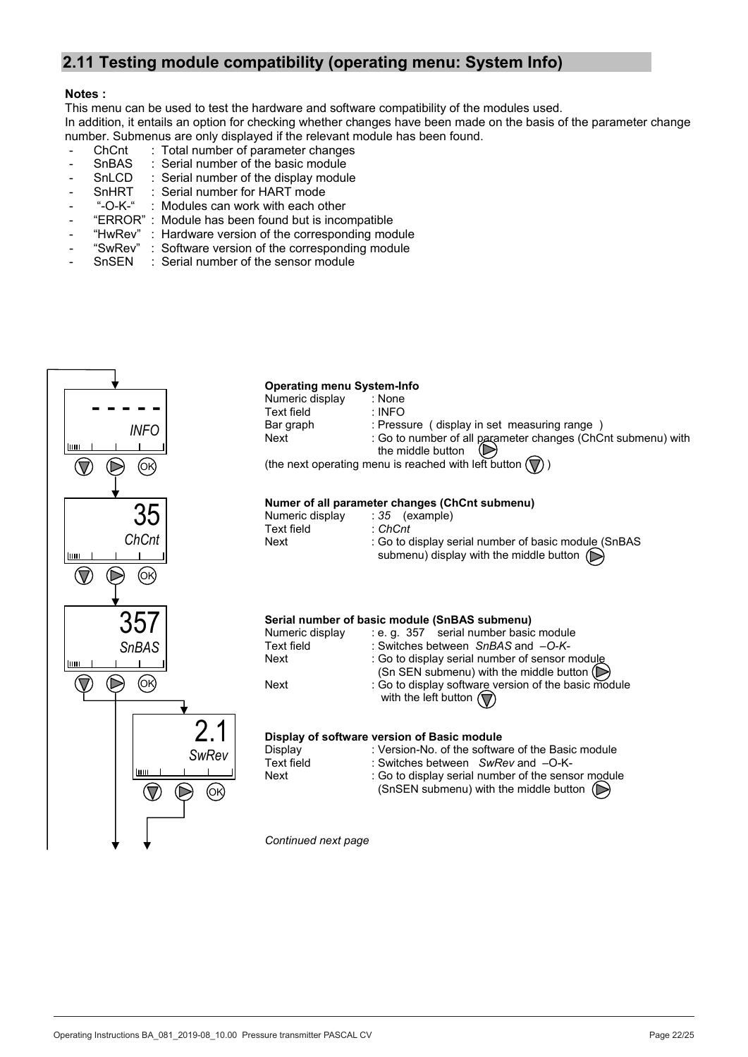# **2.11 Testing module compatibility (operating menu: System Info) 2.11 Testing module compatibility (operating menu: System Info)**

# **Notes : Notes :**

This menu can be used to test the hardware and software compatibility of the modules used. This menu can be used to test the hardware and software compatibility of the modules used.<br>This menu can be used to test the hardware and software compatibility of the modules used. In addition, it entails an option for checking whether changes have been made on the basis of the parameter change number. Submenus are only displayed if the relevant module has been found.

- ChCnt : Total number of parameter changes
- SnBAS : Serial number of the basic module
- SnLCD : Serial number of the display module
- SnHRT : Serial number for HART mode SnHRT : Serial number for HART mode
- "-O-K-" : Modules can work with each other "-O-K-" : Modules can work with each other
- "ERROR" : Module has been found but is incompatible "ERROR" : Module has been found but is incompatible
- "HwRev" : Hardware version of the corresponding module "HwRev" : Hardware version of the corresponding module
- "SwRev" : Software version of the corresponding module
- SnSEN : Serial number of the sensor module SnSEN : Serial number of the sensor module

![](_page_21_Figure_12.jpeg)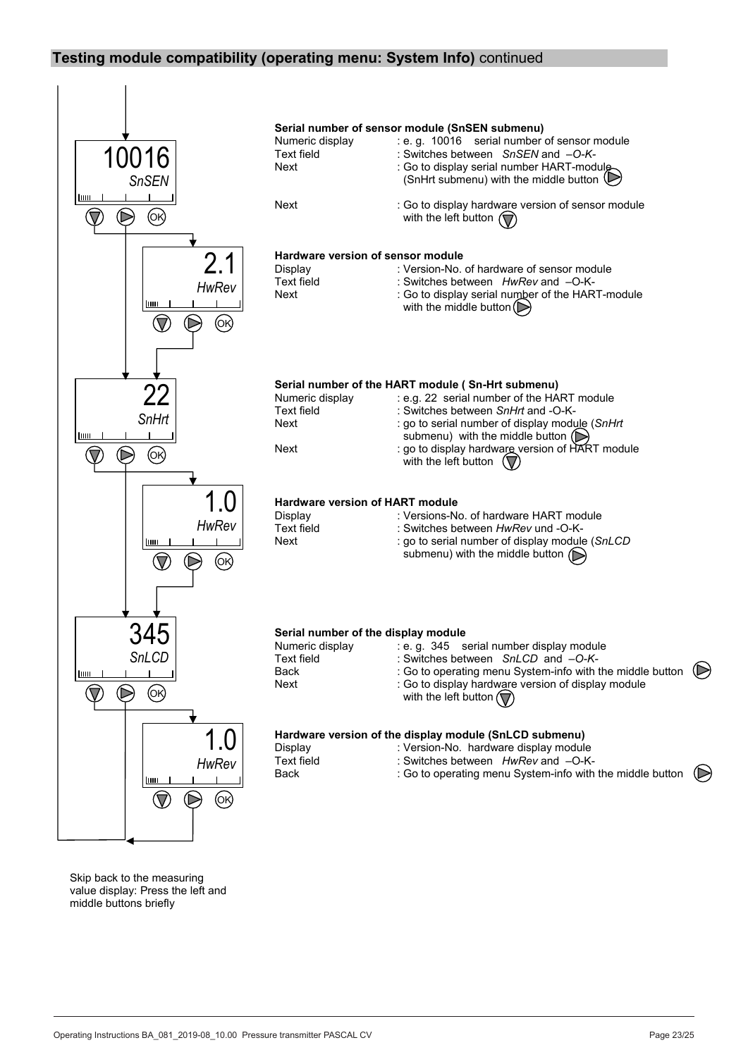# **Testing module compatibility (operating menu: System Info)** continued

![](_page_22_Figure_1.jpeg)

Skip back to the measuring value display: Press the left and middle buttons briefly

BTA-No. 081 Page 23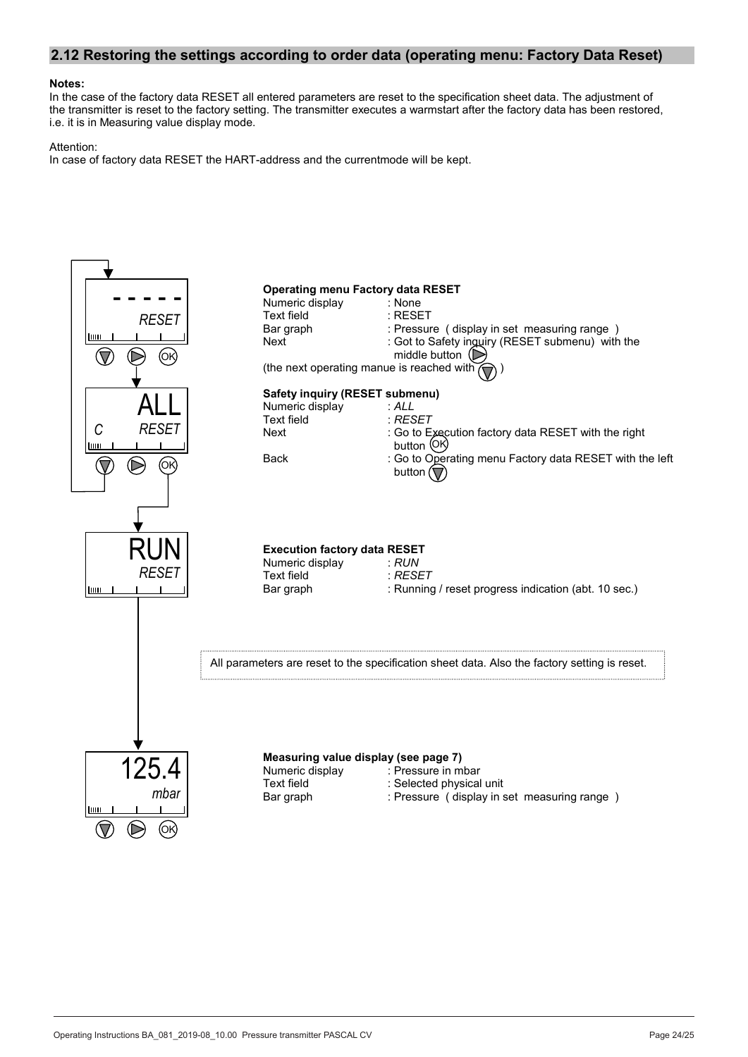#### **2.12 Restoring the settings according to order data (operating menu: Factory Data Reset)**

#### **Notes:**

In the case of the factory data RESET all entered parameters are reset to the specification sheet data. The adjustment of the transmitter is reset to the factory setting. The transmitter executes a warmstart after the factory data has been restored, i.e. it is in Measuring value display mode.

#### Attention:

In case of factory data RESET the HART-address and the currentmode will be kept.

![](_page_23_Figure_5.jpeg)